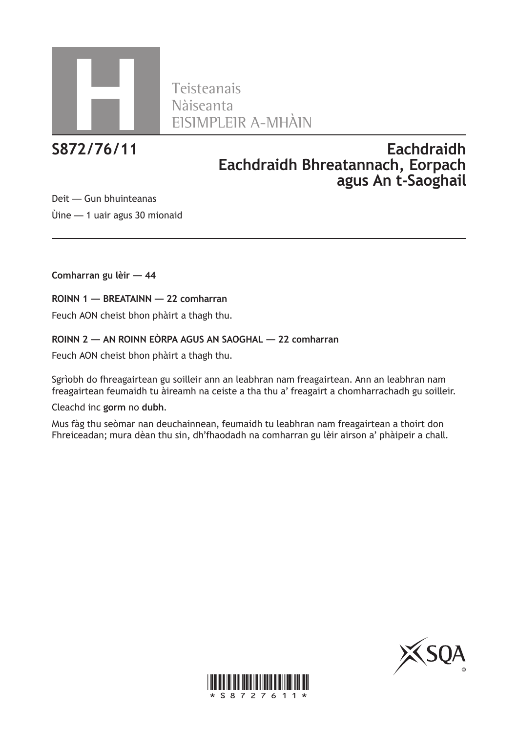

Teisteanais

# **S872/76/11 Eachdraidh Eachdraidh Bhreatannach, Eorpach agus An t-Saoghail**

Deit — Gun bhuinteanas

Ùine — 1 uair agus 30 mionaid

**Comharran gu lèir — 44**

**ROINN 1 — BREATAINN — 22 comharran**

Feuch AON cheist bhon phàirt a thagh thu.

### **ROINN 2 — AN ROINN EÒRPA AGUS AN SAOGHAL — 22 comharran**

Feuch AON cheist bhon phàirt a thagh thu.

Sgrìobh do fhreagairtean gu soilleir ann an leabhran nam freagairtean. Ann an leabhran nam freagairtean feumaidh tu àireamh na ceiste a tha thu a' freagairt a chomharrachadh gu soilleir.

Cleachd inc **gorm** no **dubh**.

Mus fàg thu seòmar nan deuchainnean, feumaidh tu leabhran nam freagairtean a thoirt don Fhreiceadan; mura dèan thu sin, dh'fhaodadh na comharran gu lèir airson a' phàipeir a chall.



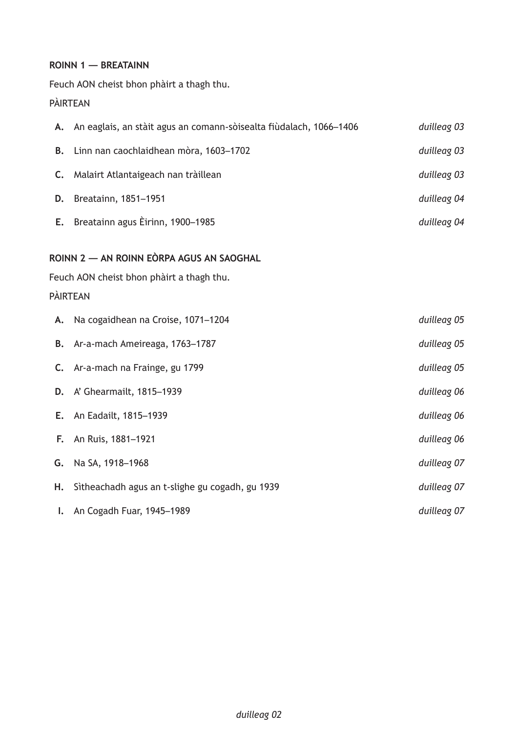## **ROINN 1 — BREATAINN**

Feuch AON cheist bhon phàirt a thagh thu.

## PÀIRTEAN

| А.                                                                                                       | An eaglais, an stàit agus an comann-sòisealta fiùdalach, 1066-1406 | duilleag 03 |
|----------------------------------------------------------------------------------------------------------|--------------------------------------------------------------------|-------------|
| В.                                                                                                       | Linn nan caochlaidhean mòra, 1603-1702                             | duilleag 03 |
| C.                                                                                                       | Malairt Atlantaigeach nan tràillean                                | duilleag 03 |
| D.                                                                                                       | Breatainn, 1851-1951                                               | duilleag 04 |
| Ε.                                                                                                       | Breatainn agus Èirinn, 1900-1985                                   | duilleag 04 |
| ROINN 2 - AN ROINN EÒRPA AGUS AN SAOGHAL<br>Feuch AON cheist bhon phàirt a thagh thu.<br><b>PÀIRTEAN</b> |                                                                    |             |
| Α.                                                                                                       | Na cogaidhean na Croise, 1071-1204                                 | duilleag 05 |
| В.                                                                                                       | Ar-a-mach Ameireaga, 1763-1787                                     | duilleag 05 |
| C.                                                                                                       | Ar-a-mach na Frainge, gu 1799                                      | duilleag 05 |
| D.                                                                                                       | A' Ghearmailt, 1815-1939                                           | duilleag 06 |
| Е.                                                                                                       | An Eadailt, 1815-1939                                              | duilleag 06 |
| F.                                                                                                       | An Ruis, 1881-1921                                                 | duilleag 06 |
| G.                                                                                                       | Na SA, 1918-1968                                                   | duilleag 07 |
| н.                                                                                                       | Sitheachadh agus an t-slighe gu cogadh, gu 1939                    | duilleag 07 |
| I.                                                                                                       | An Cogadh Fuar, 1945-1989                                          | duilleag 07 |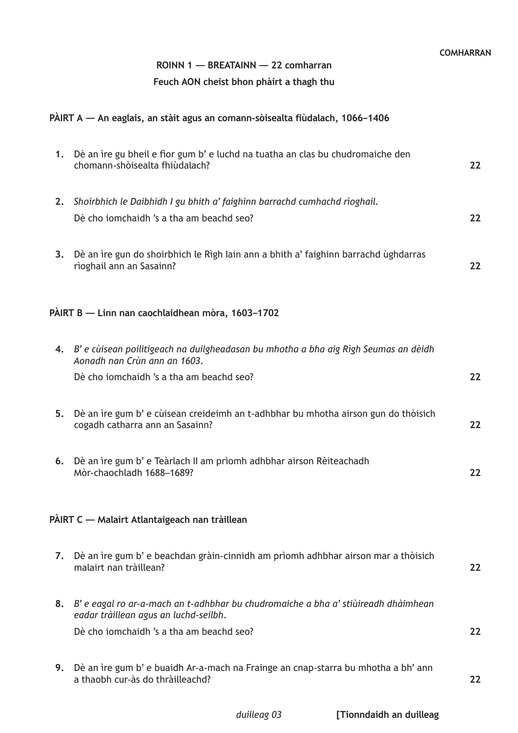**ROINN 1 — BREATAINN — 22 comharran**

## **Feuch AON cheist bhon phàirt a thagh thu**

### **PÀIRT A — An eaglais, an stàit agus an comann-sòisealta fiùdalach, 1066–1406**

|    | 1. Dè an ìre gu bheil e fìor gum b' e luchd na tuatha an clas bu chudromaiche den<br>chomann-shòisealta fhiùdalach?         | 22 |
|----|-----------------------------------------------------------------------------------------------------------------------------|----|
| 2. | Shoirbhich le Daibhidh I gu bhith a' faighinn barrachd cumhachd rìoghail.<br>Dè cho iomchaidh 's a tha am beachd seo?       | 22 |
| 3. | Dè an ìre gun do shoirbhich le Rìgh Iain ann a bhith a' faighinn barrachd ùghdarras<br>rìoghail ann an Sasainn?             | 22 |
|    | PÀIRT B - Linn nan caochlaidhean mòra, 1603-1702                                                                            |    |
|    | 4. B' e cùisean poilitigeach na duilgheadasan bu mhotha a bha aig Rìgh Seumas an dèidh<br>Aonadh nan Crùn ann an 1603.      |    |
|    | Dè cho iomchaidh 's a tha am beachd seo?                                                                                    | 22 |
| 5. | Dè an ìre gum b' e cùisean creideimh an t-adhbhar bu mhotha airson gun do thòisich<br>cogadh catharra ann an Sasainn?       | 22 |
| 6. | Dè an ìre gum b' e Teàrlach II am prìomh adhbhar airson Rèiteachadh<br>Mòr-chaochladh 1688-1689?                            | 22 |
|    | PÀIRT C — Malairt Atlantaigeach nan tràillean                                                                               |    |
| 7. | Dè an ìre gum b' e beachdan gràin-cinnidh am prìomh adhbhar airson mar a thòisich<br>malairt nan tràillean?                 | 22 |
| 8. | B' e eagal ro ar-a-mach an t-adhbhar bu chudromaiche a bha a' stiùireadh dhàimhean<br>eadar tràillean agus an luchd-seilbh. |    |
|    | Dè cho iomchaidh 's a tha am beachd seo?                                                                                    | 22 |
| 9. | Dè an ìre gum b' e buaidh Ar-a-mach na Frainge an cnap-starra bu mhotha a bh' ann<br>a thaobh cur-às do thràilleachd?       | 22 |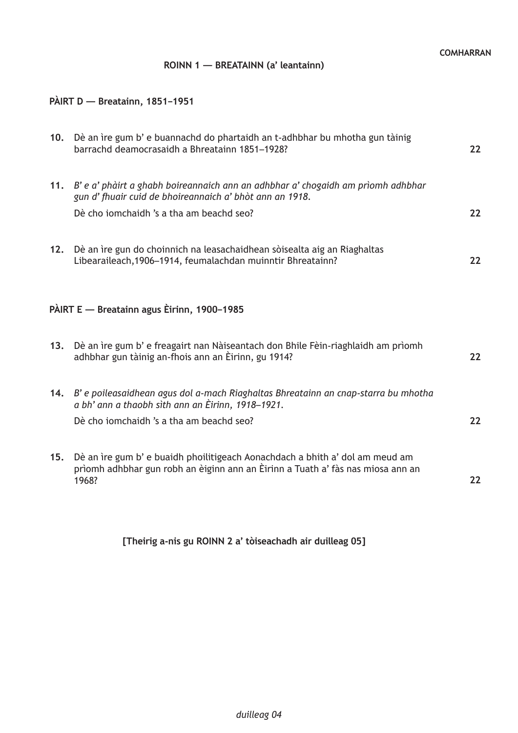**ROINN 1 — BREATAINN (a' leantainn)**

### **PÀIRT D — Breatainn, 1851–1951**

| 10.                                        | Dè an ìre gum b' e buannachd do phartaidh an t-adhbhar bu mhotha gun tàinig<br>barrachd deamocrasaidh a Bhreatainn 1851–1928?                                            | 22 |
|--------------------------------------------|--------------------------------------------------------------------------------------------------------------------------------------------------------------------------|----|
|                                            | 11. B' e a' phàirt a ghabh boireannaich ann an adhbhar a' chogaidh am prìomh adhbhar<br>gun d' fhuair cuid de bhoireannaich a' bhòt ann an 1918.                         |    |
|                                            | Dè cho iomchaidh 's a tha am beachd seo?                                                                                                                                 | 22 |
| 12.                                        | Dè an ìre gun do choinnich na leasachaidhean sòisealta aig an Riaghaltas<br>Libearaileach, 1906-1914, feumalachdan muinntir Bhreatainn?                                  | 22 |
| PÀIRT E — Breatainn agus Èirinn, 1900-1985 |                                                                                                                                                                          |    |
| 13.                                        | Dè an ìre gum b' e freagairt nan Nàiseantach don Bhile Fèin-riaghlaidh am prìomh<br>adhbhar gun tàinig an-fhois ann an Èirinn, gu 1914?                                  | 22 |
|                                            | 14. B' e poileasaidhean agus dol a-mach Riaghaltas Bhreatainn an cnap-starra bu mhotha<br>a bh' ann a thaobh sìth ann an Èirinn, 1918–1921.                              |    |
|                                            | Dè cho jomchaidh 's a tha am beachd seo?                                                                                                                                 | 22 |
| 15.                                        | Dè an ìre gum b' e buaidh phoilitigeach Aonachdach a bhith a' dol am meud am<br>prìomh adhbhar gun robh an èiginn ann an Èirinn a Tuath a' fàs nas miosa ann an<br>1968? | 22 |

**[Theirig a-nis gu ROINN 2 a' tòiseachadh air duilleag 05]**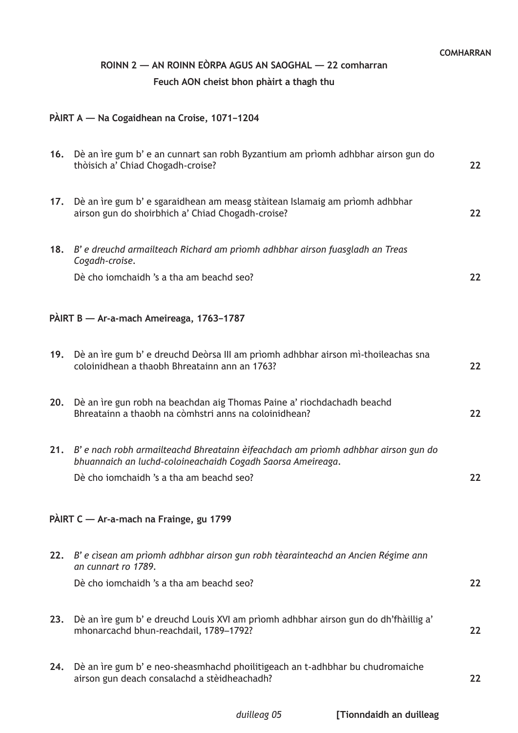## **ROINN 2 — AN ROINN EÒRPA AGUS AN SAOGHAL — 22 comharran Feuch AON cheist bhon phàirt a thagh thu**

### **PÀIRT A — Na Cogaidhean na Croise, 1071–1204**

|                                         | 16. Dè an ìre gum b' e an cunnart san robh Byzantium am prìomh adhbhar airson gun do<br>thòisich a' Chiad Chogadh-croise?                             | 22 |
|-----------------------------------------|-------------------------------------------------------------------------------------------------------------------------------------------------------|----|
| 17.                                     | Dè an ìre gum b' e sgaraidhean am measg stàitean Islamaig am prìomh adhbhar<br>airson gun do shoirbhich a' Chiad Chogadh-croise?                      | 22 |
|                                         | 18. B' e dreuchd armailteach Richard am prìomh adhbhar airson fuasgladh an Treas<br>Cogadh-croise.                                                    |    |
|                                         | Dè cho iomchaidh 's a tha am beachd seo?                                                                                                              | 22 |
|                                         | PÀIRT B — Ar-a-mach Ameireaga, 1763-1787                                                                                                              |    |
| 19.                                     | Dè an ìre gum b' e dreuchd Deòrsa III am prìomh adhbhar airson mì-thoileachas sna<br>coloinidhean a thaobh Bhreatainn ann an 1763?                    | 22 |
|                                         | 20. Dè an ìre gun robh na beachdan aig Thomas Paine a' riochdachadh beachd<br>Bhreatainn a thaobh na còmhstri anns na coloinidhean?                   | 22 |
|                                         | 21. B' e nach robh armailteachd Bhreatainn èifeachdach am prìomh adhbhar airson gun do<br>bhuannaich an luchd-coloineachaidh Cogadh Saorsa Ameireaga. |    |
|                                         | Dè cho iomchaidh 's a tha am beachd seo?                                                                                                              | 22 |
| PÀIRT C - Ar-a-mach na Frainge, gu 1799 |                                                                                                                                                       |    |
| 22.                                     | B' e cìsean am prìomh adhbhar airson gun robh tèarainteachd an Ancien Régime ann<br>an cunnart ro 1789.                                               |    |
|                                         | Dè cho iomchaidh 's a tha am beachd seo?                                                                                                              | 22 |
| 23.                                     | Dè an ìre gum b' e dreuchd Louis XVI am prìomh adhbhar airson gun do dh'fhàillig a'<br>mhonarcachd bhun-reachdail, 1789-1792?                         | 22 |
| 24.                                     | Dè an ìre gum b' e neo-sheasmhachd phoilitigeach an t-adhbhar bu chudromaiche<br>airson gun deach consalachd a stèidheachadh?                         | 22 |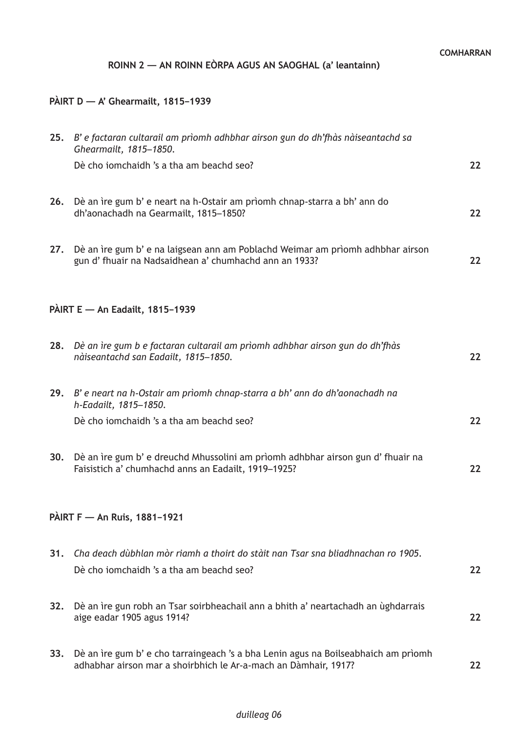## **ROINN 2 — AN ROINN EÒRPA AGUS AN SAOGHAL (a' leantainn)**

## **PÀIRT D — A' Ghearmailt, 1815–1939**

| 25. | B' e factaran cultarail am prìomh adhbhar airson gun do dh'fhàs nàiseantachd sa<br>Ghearmailt, 1815-1850.                                             |    |  |
|-----|-------------------------------------------------------------------------------------------------------------------------------------------------------|----|--|
|     | Dè cho iomchaidh 's a tha am beachd seo?                                                                                                              | 22 |  |
| 26. | Dè an ìre gum b' e neart na h-Ostair am prìomh chnap-starra a bh' ann do<br>dh'aonachadh na Gearmailt, 1815-1850?                                     | 22 |  |
| 27. | Dè an ìre gum b' e na laigsean ann am Poblachd Weimar am prìomh adhbhar airson<br>gun d' fhuair na Nadsaidhean a' chumhachd ann an 1933?              | 22 |  |
|     | PÀIRT E - An Eadailt, 1815-1939                                                                                                                       |    |  |
| 28. | Dè an ìre gum b e factaran cultarail am prìomh adhbhar airson gun do dh'fhàs<br>nàiseantachd san Eadailt, 1815-1850.                                  | 22 |  |
|     | 29. B' e neart na h-Ostair am prìomh chnap-starra a bh' ann do dh'aonachadh na<br>h-Eadailt, 1815-1850.<br>Dè cho iomchaidh 's a tha am beachd seo?   | 22 |  |
| 30. | Dè an ìre gum b' e dreuchd Mhussolini am prìomh adhbhar airson gun d' fhuair na<br>Faisistich a' chumhachd anns an Eadailt, 1919-1925?                | 22 |  |
|     | PÀIRT F - An Ruis, 1881-1921                                                                                                                          |    |  |
| 31. | Cha deach dùbhlan mòr riamh a thoirt do stàit nan Tsar sna bliadhnachan ro 1905.<br>Dè cho iomchaidh 's a tha am beachd seo?                          | 22 |  |
| 32. | Dè an ìre gun robh an Tsar soirbheachail ann a bhith a' neartachadh an ùghdarrais<br>aige eadar 1905 agus 1914?                                       | 22 |  |
| 33. | Dè an ìre gum b' e cho tarraingeach 's a bha Lenin agus na Boilseabhaich am prìomh<br>adhabhar airson mar a shoirbhich le Ar-a-mach an Dàmhair, 1917? | 22 |  |